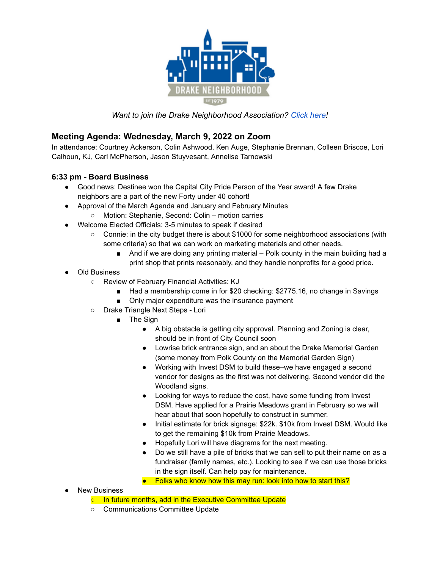

*Want to join the Drake Neighborhood Association? [Click](https://dna.wildapricot.org/) here!*

## **Meeting Agenda: Wednesday, March 9, 2022 on Zoom**

In attendance: Courtney Ackerson, Colin Ashwood, Ken Auge, Stephanie Brennan, Colleen Briscoe, Lori Calhoun, KJ, Carl McPherson, Jason Stuyvesant, Annelise Tarnowski

## **6:33 pm - Board Business**

- Good news: Destinee won the Capital City Pride Person of the Year award! A few Drake neighbors are a part of the new Forty under 40 cohort!
- Approval of the March Agenda and January and February Minutes
	- Motion: Stephanie, Second: Colin motion carries
- Welcome Elected Officials: 3-5 minutes to speak if desired
	- Connie: in the city budget there is about \$1000 for some neighborhood associations (with some criteria) so that we can work on marketing materials and other needs.
		- And if we are doing any printing material Polk county in the main building had a print shop that prints reasonably, and they handle nonprofits for a good price.
- Old Business
	- Review of February Financial Activities: KJ
		- Had a membership come in for \$20 checking: \$2775.16, no change in Savings
		- Only major expenditure was the insurance payment
	- Drake Triangle Next Steps Lori
		- The Sign
			- A big obstacle is getting city approval. Planning and Zoning is clear, should be in front of City Council soon
			- Lowrise brick entrance sign, and an about the Drake Memorial Garden (some money from Polk County on the Memorial Garden Sign)
			- Working with Invest DSM to build these–we have engaged a second vendor for designs as the first was not delivering. Second vendor did the Woodland signs.
			- Looking for ways to reduce the cost, have some funding from Invest DSM. Have applied for a Prairie Meadows grant in February so we will hear about that soon hopefully to construct in summer.
			- Initial estimate for brick signage: \$22k. \$10k from Invest DSM. Would like to get the remaining \$10k from Prairie Meadows.
			- Hopefully Lori will have diagrams for the next meeting.
			- Do we still have a pile of bricks that we can sell to put their name on as a fundraiser (family names, etc.). Looking to see if we can use those bricks in the sign itself. Can help pay for maintenance.
			- Folks who know how this may run: look into how to start this?
- **New Business** 
	- In future months, add in the Executive Committee Update
	- Communications Committee Update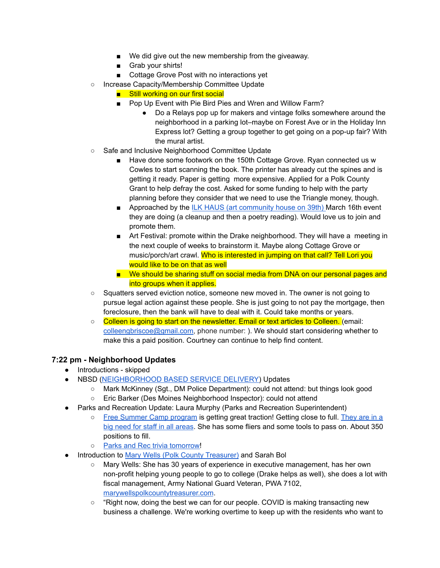- We did give out the new membership from the giveaway.
- Grab your shirts!
- Cottage Grove Post with no interactions yet
- Increase Capacity/Membership Committee Update
	- Still working on our first social
	- Pop Up Event with Pie Bird Pies and Wren and Willow Farm?
		- Do a Relays pop up for makers and vintage folks somewhere around the neighborhood in a parking lot–maybe on Forest Ave or in the Holiday Inn Express lot? Getting a group together to get going on a pop-up fair? With the mural artist.
- Safe and Inclusive Neighborhood Committee Update
	- Have done some footwork on the 150th Cottage Grove. Ryan connected us w Cowles to start scanning the book. The printer has already cut the spines and is getting it ready. Paper is getting more expensive. Applied for a Polk County Grant to help defray the cost. Asked for some funding to help with the party planning before they consider that we need to use the Triangle money, though.
	- Approached by the ILK HAUS (art [community](https://www.facebook.com/ILKhaus/) house on 39th) March 16th event they are doing (a cleanup and then a poetry reading). Would love us to join and promote them.
	- Art Festival: promote within the Drake neighborhood. They will have a meeting in the next couple of weeks to brainstorm it. Maybe along Cottage Grove or music/porch/art crawl. Who is interested in jumping on that call? Tell Lori you would like to be on that as well
	- We should be sharing stuff on social media from DNA on our personal pages and into groups when it applies.
- Squatters served eviction notice, someone new moved in. The owner is not going to pursue legal action against these people. She is just going to not pay the mortgage, then foreclosure, then the bank will have to deal with it. Could take months or years.
- Colleen is going to start on the newsletter. Email or text articles to Colleen. (email: [colleengbriscoe@gmail.com](mailto:colleengbriscoe@gmail.com), phone number: ). We should start considering whether to make this a paid position. Courtney can continue to help find content.

## **7:22 pm - Neighborhood Updates**

- Introductions skipped
- NBSD ([NEIGHBORHOOD](https://www.dsm.city/departments/police-division/operations/neighborhood_based_service_delivery_programs.php) BASED SERVICE DELIVERY) Updates
	- Mark McKinney (Sgt., DM Police Department): could not attend: but things look good
	- Eric Barker (Des Moines Neighborhood Inspector): could not attend
- Parks and Recreation Update: Laura Murphy (Parks and Recreation Superintendent)
	- Free [Summer](https://www.dsm.city/departments/parks_and_recreation-division/programs/summer_camp.php) Camp program is getting great traction! Getting close to full. [They](https://www.governmentjobs.com/careers/desmoines) are in a big need for staff in all [areas](https://www.governmentjobs.com/careers/desmoines). She has some fliers and some tools to pass on. About 350 positions to fill.
	- o Parks and Rec trivia [tomorrow!](https://www.dsm.city/calendar.php#Parks%20and%20Recreation)
- Introduction to Mary Wells (Polk County [Treasurer\)](https://www.polkcountyiowa.gov/county-treasurer/mary-l-wells/) and Sarah Bol
	- Mary Wells: She has 30 years of experience in executive management, has her own non-profit helping young people to go to college (Drake helps as well), she does a lot with fiscal management, Army National Guard Veteran, PWA 7102, [marywellspolkcountytreasurer.com](https://marywellspolkcountytreasurer.com/).
	- "Right now, doing the best we can for our people. COVID is making transacting new business a challenge. We're working overtime to keep up with the residents who want to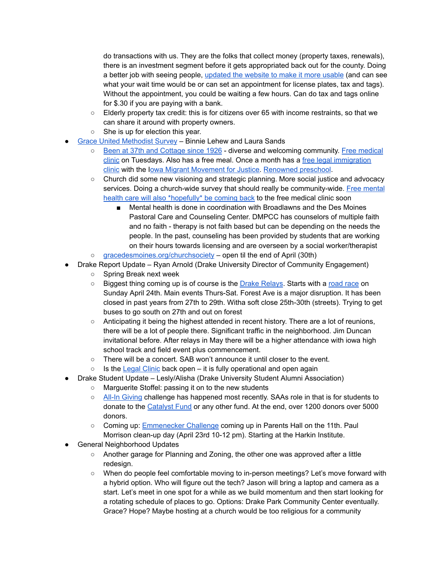do transactions with us. They are the folks that collect money (property taxes, renewals), there is an investment segment before it gets appropriated back out for the county. Doing a better job with seeing people, [updated](https://www.polkcountyiowa.gov/county-treasurer/) the website to make it more usable (and can see what your wait time would be or can set an appointment for license plates, tax and tags). Without the appointment, you could be waiting a few hours. Can do tax and tags online for \$.30 if you are paying with a bank.

- Elderly property tax credit: this is for citizens over 65 with income restraints, so that we can share it around with property owners.
- She is up for election this year.
- Grace United [Methodist](https://docs.google.com/forms/d/e/1FAIpQLSeI2674H-KLGj5_Nno6Vh-1d8ff5dove99TtJ71jf1bTZy_SA/viewform) Survey Binnie Lehew and Laura Sands
	- Been at 37th and [Cottage](https://gracedesmoines.org/) since 1926 diverse and welcoming community. Free [medical](https://gracedesmoines.org/community/free-clinic/) [clinic](https://gracedesmoines.org/community/free-clinic/) on Tuesdays. Also has a free meal. Once a month has a free legal [immigration](https://gracedesmoines.org/community/justice-for-our-neighbors/) [clinic](https://gracedesmoines.org/community/justice-for-our-neighbors/) with the Iowa Migrant [Movement](https://www.iowammj.org/) for Justice. [Renowned](https://gracedesmoines.org/grace-preschool/) preschool.
	- Church did some new visioning and strategic planning. More social justice and advocacy services. Doing a church-wide survey that should really be community-wide. Free [mental](https://gracedesmoines.org/community/mental-health-clinic/) health care will also [\\*hopefully\\*](https://gracedesmoines.org/community/mental-health-clinic/) be coming back to the free medical clinic soon
		- Mental health is done in coordination with Broadlawns and the Des Moines Pastoral Care and Counseling Center. DMPCC has counselors of multiple faith and no faith - therapy is not faith based but can be depending on the needs the people. In the past, counseling has been provided by students that are working on their hours towards licensing and are overseen by a social worker/therapist
	- [gracedesmoines.org/churchsociety](http://gracedesmoines.org/churchsociety) open til the end of April (30th)
- Drake Report Update Ryan Arnold (Drake University Director of Community Engagement)
	- Spring Break next week
	- Biggest thing coming up is of course is the Drake [Relays](https://www.drake.edu/life/drakerelays/). Starts with a road [race](https://www.drakeroadraces.org/drake-road-races-course) on Sunday April 24th. Main events Thurs-Sat. Forest Ave is a major disruption. It has been closed in past years from 27th to 29th. Witha soft close 25th-30th (streets). Trying to get buses to go south on 27th and out on forest
	- Anticipating it being the highest attended in recent history. There are a lot of reunions, there will be a lot of people there. Significant traffic in the neighborhood. Jim Duncan invitational before. After relays in May there will be a higher attendance with iowa high school track and field event plus commencement.
	- There will be a concert. SAB won't announce it until closer to the event.
	- Is the [Legal](https://www.drake.edu/law/clinics-centers/clinic/) Clinic back open it is fully operational and open again
- Drake Student Update Lesly/Alisha (Drake University Student Alumni Association)
	- Marguerite Stoffel: passing it on to the new students
	- All-In [Giving](https://all-in.drake.edu/) challenge has happened most recently. SAAs role in that is for students to donate to the [Catalyst](https://alumni.drake.edu/catalystfund) Fund or any other fund. At the end, over 1200 donors over 5000 donors.
	- Coming up: [Emmenecker](https://www.facebook.com/DrakeSAA/posts/5087631087957115) Challenge coming up in Parents Hall on the 11th. Paul Morrison clean-up day (April 23rd 10-12 pm). Starting at the Harkin Institute.
- **General Neighborhood Updates** 
	- Another garage for Planning and Zoning, the other one was approved after a little redesign.
	- When do people feel comfortable moving to in-person meetings? Let's move forward with a hybrid option. Who will figure out the tech? Jason will bring a laptop and camera as a start. Let's meet in one spot for a while as we build momentum and then start looking for a rotating schedule of places to go. Options: Drake Park Community Center eventually. Grace? Hope? Maybe hosting at a church would be too religious for a community